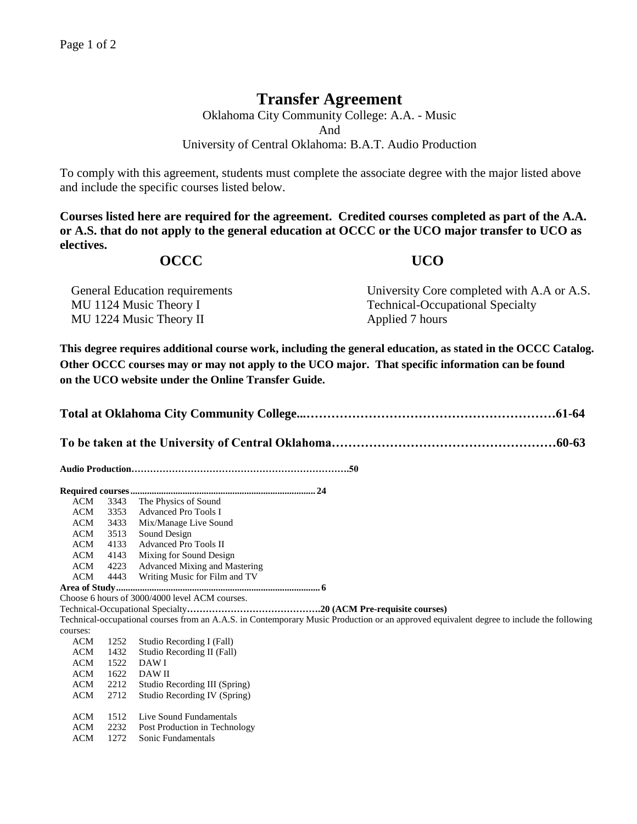## **Transfer Agreement**

Oklahoma City Community College: A.A. - Music And University of Central Oklahoma: B.A.T. Audio Production

To comply with this agreement, students must complete the associate degree with the major listed above and include the specific courses listed below.

**Courses listed here are required for the agreement. Credited courses completed as part of the A.A. or A.S. that do not apply to the general education at OCCC or the UCO major transfer to UCO as electives.**

## **OCCC UCO**

| <b>General Education requirements</b> | University Core completed with A.A or A.S. |
|---------------------------------------|--------------------------------------------|
| MU 1124 Music Theory I                | <b>Technical-Occupational Specialty</b>    |
| MU 1224 Music Theory II               | Applied 7 hours                            |

**This degree requires additional course work, including the general education, as stated in the OCCC Catalog. Other OCCC courses may or may not apply to the UCO major. That specific information can be found on the UCO website under the Online Transfer Guide.**

|--|--|--|

**To be taken at the University of Central Oklahoma………………………………………………60-63**

**Audio Production…………………………………………………………….50**

| ACM        | 3343 | The Physics of Sound                                                                                                                     |  |  |  |  |
|------------|------|------------------------------------------------------------------------------------------------------------------------------------------|--|--|--|--|
| ACM        | 3353 | <b>Advanced Pro Tools I</b>                                                                                                              |  |  |  |  |
| ACM        | 3433 | Mix/Manage Live Sound                                                                                                                    |  |  |  |  |
| ACM        | 3513 | Sound Design                                                                                                                             |  |  |  |  |
| ACM        | 4133 | Advanced Pro Tools II                                                                                                                    |  |  |  |  |
| ACM        | 4143 | Mixing for Sound Design                                                                                                                  |  |  |  |  |
| ACM        | 4223 | Advanced Mixing and Mastering                                                                                                            |  |  |  |  |
| ACM        | 4443 | Writing Music for Film and TV                                                                                                            |  |  |  |  |
|            |      |                                                                                                                                          |  |  |  |  |
|            |      | Choose 6 hours of 3000/4000 level ACM courses.                                                                                           |  |  |  |  |
|            |      |                                                                                                                                          |  |  |  |  |
|            |      | Technical-occupational courses from an A.A.S. in Contemporary Music Production or an approved equivalent degree to include the following |  |  |  |  |
| courses:   |      |                                                                                                                                          |  |  |  |  |
| ACM        | 1252 | Studio Recording I (Fall)                                                                                                                |  |  |  |  |
| ACM        | 1432 | Studio Recording II (Fall)                                                                                                               |  |  |  |  |
| ACM        | 1522 | DAW I                                                                                                                                    |  |  |  |  |
| ACM        | 1622 | DAW II                                                                                                                                   |  |  |  |  |
| ACM        | 2212 | Studio Recording III (Spring)                                                                                                            |  |  |  |  |
| ACM        | 2712 | Studio Recording IV (Spring)                                                                                                             |  |  |  |  |
|            |      |                                                                                                                                          |  |  |  |  |
| ACM        | 1512 | Live Sound Fundamentals                                                                                                                  |  |  |  |  |
| <b>ACM</b> | 2232 | Post Production in Technology                                                                                                            |  |  |  |  |
| ACM        | 1272 | Sonic Fundamentals                                                                                                                       |  |  |  |  |